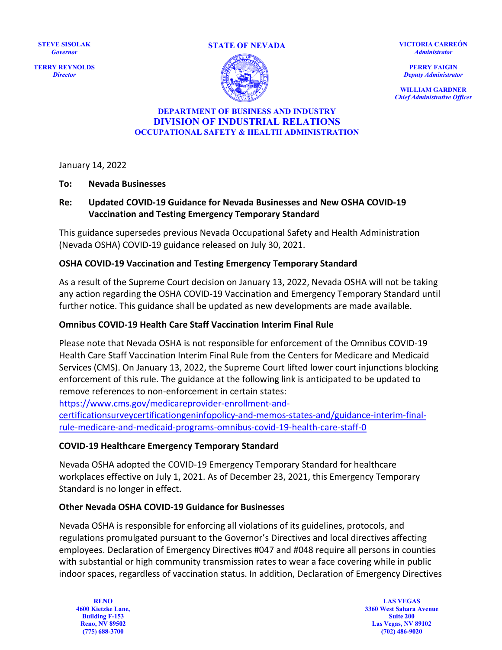**STEVE SISOLAK** *Governor*

**TERRY REYNOLDS** *Director*





**VICTORIA CARREÓN** *Administrator*

**PERRY FAIGIN** *Deputy Administrator*

**WILLIAM GARDNER** *Chief Administrative Officer*

#### **DEPARTMENT OF BUSINESS AND INDUSTRY DIVISION OF INDUSTRIAL RELATIONS OCCUPATIONAL SAFETY & HEALTH ADMINISTRATION**

January 14, 2022

#### **To: Nevada Businesses**

## **Re: Updated COVID-19 Guidance for Nevada Businesses and New OSHA COVID-19 Vaccination and Testing Emergency Temporary Standard**

This guidance supersedes previous Nevada Occupational Safety and Health Administration (Nevada OSHA) COVID-19 guidance released on July 30, 2021.

#### **OSHA COVID-19 Vaccination and Testing Emergency Temporary Standard**

As a result of the Supreme Court decision on January 13, 2022, Nevada OSHA will not be taking any action regarding the OSHA COVID-19 Vaccination and Emergency Temporary Standard until further notice. This guidance shall be updated as new developments are made available.

#### **Omnibus COVID-19 Health Care Staff Vaccination Interim Final Rule**

Please note that Nevada OSHA is not responsible for enforcement of the Omnibus COVID-19 Health Care Staff Vaccination Interim Final Rule from the Centers for Medicare and Medicaid Services (CMS). On January 13, 2022, the Supreme Court lifted lower court injunctions blocking enforcement of this rule. The guidance at the following link is anticipated to be updated to remove references to non-enforcement in certain states:

[https://www.cms.gov/medicareprovider-enrollment-and-](https://www.cms.gov/medicareprovider-enrollment-and-certificationsurveycertificationgeninfopolicy-and-memos-states-and/guidance-interim-final-rule-medicare-and-medicaid-programs-omnibus-covid-19-health-care-staff-0)

[certificationsurveycertificationgeninfopolicy-and-memos-states-and/guidance-interim-final](https://www.cms.gov/medicareprovider-enrollment-and-certificationsurveycertificationgeninfopolicy-and-memos-states-and/guidance-interim-final-rule-medicare-and-medicaid-programs-omnibus-covid-19-health-care-staff-0)[rule-medicare-and-medicaid-programs-omnibus-covid-19-health-care-staff-0](https://www.cms.gov/medicareprovider-enrollment-and-certificationsurveycertificationgeninfopolicy-and-memos-states-and/guidance-interim-final-rule-medicare-and-medicaid-programs-omnibus-covid-19-health-care-staff-0) 

#### **COVID-19 Healthcare Emergency Temporary Standard**

Nevada OSHA adopted the COVID-19 Emergency Temporary Standard for healthcare workplaces effective on July 1, 2021. As of December 23, 2021, this Emergency Temporary Standard is no longer in effect.

#### **Other Nevada OSHA COVID-19 Guidance for Businesses**

Nevada OSHA is responsible for enforcing all violations of its guidelines, protocols, and regulations promulgated pursuant to the Governor's Directives and local directives affecting employees. Declaration of Emergency Directives #047 and #048 require all persons in counties with substantial or high community transmission rates to wear a face covering while in public indoor spaces, regardless of vaccination status. In addition, Declaration of Emergency Directives

**RENO 4600 Kietzke Lane, Building F-153 Reno, NV 89502 (775) 688-3700**

**LAS VEGAS 3360 West Sahara Avenue Suite 200 Las Vegas, NV 89102 (702) 486-9020**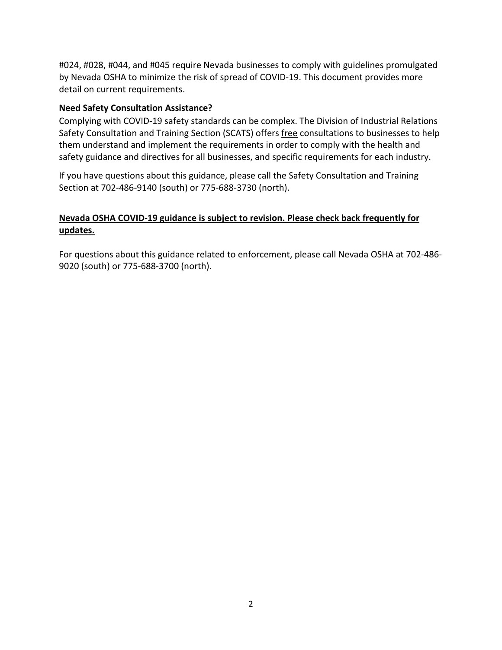#024, #028, #044, and #045 require Nevada businesses to comply with guidelines promulgated by Nevada OSHA to minimize the risk of spread of COVID-19. This document provides more detail on current requirements.

### **Need Safety Consultation Assistance?**

Complying with COVID-19 safety standards can be complex. The Division of Industrial Relations Safety Consultation and Training Section (SCATS) offers free consultations to businesses to help them understand and implement the requirements in order to comply with the health and safety guidance and directives for all businesses, and specific requirements for each industry.

If you have questions about this guidance, please call the Safety Consultation and Training Section at 702-486-9140 (south) or 775-688-3730 (north).

# **Nevada OSHA COVID-19 guidance is subject to revision. Please check back frequently for updates.**

For questions about this guidance related to enforcement, please call Nevada OSHA at 702-486- 9020 (south) or 775-688-3700 (north).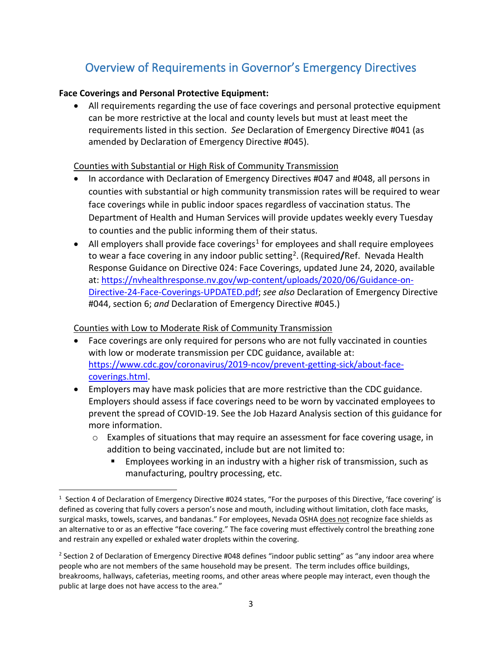# Overview of Requirements in Governor's Emergency Directives

## **Face Coverings and Personal Protective Equipment:**

• All requirements regarding the use of face coverings and personal protective equipment can be more restrictive at the local and county levels but must at least meet the requirements listed in this section. *See* Declaration of Emergency Directive #041 (as amended by Declaration of Emergency Directive #045).

## Counties with Substantial or High Risk of Community Transmission

- In accordance with Declaration of Emergency Directives #047 and #048, all persons in counties with substantial or high community transmission rates will be required to wear face coverings while in public indoor spaces regardless of vaccination status. The Department of Health and Human Services will provide updates weekly every Tuesday to counties and the public informing them of their status.
- All employers shall provide face coverings<sup>[1](#page-2-0)</sup> for employees and shall require employees to wear a face covering in any indoor public setting<sup>[2](#page-2-1)</sup>. (Required/Ref. Nevada Health Response Guidance on Directive 024: Face Coverings, updated June 24, 2020, available at[: https://nvhealthresponse.nv.gov/wp-content/uploads/2020/06/Guidance-on-](https://nvhealthresponse.nv.gov/wp-content/uploads/2020/06/Guidance-on-Directive-24-Face-Coverings-UPDATED.pdf)[Directive-24-Face-Coverings-UPDATED.pdf;](https://nvhealthresponse.nv.gov/wp-content/uploads/2020/06/Guidance-on-Directive-24-Face-Coverings-UPDATED.pdf) *see also* Declaration of Emergency Directive #044, section 6; *and* Declaration of Emergency Directive #045.)

## Counties with Low to Moderate Risk of Community Transmission

- Face coverings are only required for persons who are not fully vaccinated in counties with low or moderate transmission per CDC guidance, available at: [https://www.cdc.gov/coronavirus/2019-ncov/prevent-getting-sick/about-face](https://www.cdc.gov/coronavirus/2019-ncov/prevent-getting-sick/about-face-coverings.html)[coverings.html.](https://www.cdc.gov/coronavirus/2019-ncov/prevent-getting-sick/about-face-coverings.html)
- Employers may have mask policies that are more restrictive than the CDC guidance. Employers should assess if face coverings need to be worn by vaccinated employees to prevent the spread of COVID-19. See the Job Hazard Analysis section of this guidance for more information.
	- o Examples of situations that may require an assessment for face covering usage, in addition to being vaccinated, include but are not limited to:
		- Employees working in an industry with a higher risk of transmission, such as manufacturing, poultry processing, etc.

<span id="page-2-0"></span> $1$  Section 4 of Declaration of Emergency Directive #024 states, "For the purposes of this Directive, 'face covering' is defined as covering that fully covers a person's nose and mouth, including without limitation, cloth face masks, surgical masks, towels, scarves, and bandanas." For employees, Nevada OSHA does not recognize face shields as an alternative to or as an effective "face covering." The face covering must effectively control the breathing zone and restrain any expelled or exhaled water droplets within the covering.

<span id="page-2-1"></span><sup>&</sup>lt;sup>2</sup> Section 2 of Declaration of Emergency Directive #048 defines "indoor public setting" as "any indoor area where people who are not members of the same household may be present. The term includes office buildings, breakrooms, hallways, cafeterias, meeting rooms, and other areas where people may interact, even though the public at large does not have access to the area."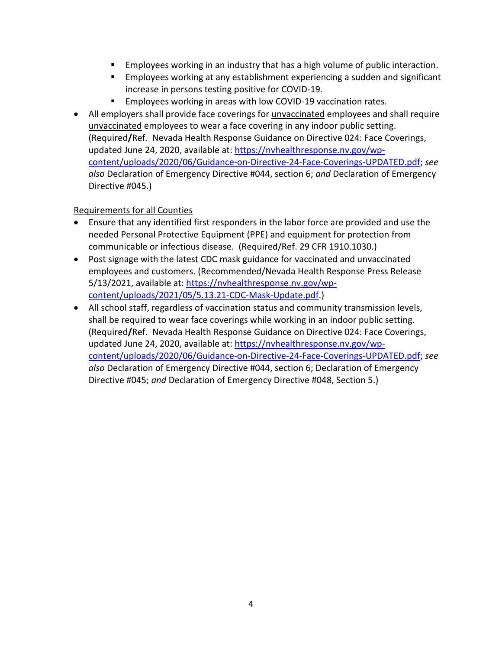- **Employees working in an industry that has a high volume of public interaction.**
- Employees working at any establishment experiencing a sudden and significant increase in persons testing positive for COVID-19.
- **Employees working in areas with low COVID-19 vaccination rates.**
- All employers shall provide face coverings for unvaccinated employees and shall require unvaccinated employees to wear a face covering in any indoor public setting. (Required**/**Ref*.* Nevada Health Response Guidance on Directive 024: Face Coverings, updated June 24, 2020, available at: [https://nvhealthresponse.nv.gov/wp](https://nvhealthresponse.nv.gov/wp-content/uploads/2020/06/Guidance-on-Directive-24-Face-Coverings-UPDATED.pdf)[content/uploads/2020/06/Guidance-on-Directive-24-Face-Coverings-UPDATED.pdf;](https://nvhealthresponse.nv.gov/wp-content/uploads/2020/06/Guidance-on-Directive-24-Face-Coverings-UPDATED.pdf) *see also* Declaration of Emergency Directive #044, section 6; *and* Declaration of Emergency Directive #045.)

# Requirements for all Counties

- Ensure that any identified first responders in the labor force are provided and use the needed Personal Protective Equipment (PPE) and equipment for protection from communicable or infectious disease. (Required/Ref. 29 CFR 1910.1030.)
- Post signage with the latest CDC mask guidance for vaccinated and unvaccinated employees and customers. (Recommended/Nevada Health Response Press Release 5/13/2021, available at: [https://nvhealthresponse.nv.gov/wp](https://nvhealthresponse.nv.gov/wp-content/uploads/2021/05/5.13.21-CDC-Mask-Update.pdf)[content/uploads/2021/05/5.13.21-CDC-Mask-Update.pdf.](https://nvhealthresponse.nv.gov/wp-content/uploads/2021/05/5.13.21-CDC-Mask-Update.pdf))
- All school staff, regardless of vaccination status and community transmission levels, shall be required to wear face coverings while working in an indoor public setting. (Required**/**Ref. Nevada Health Response Guidance on Directive 024: Face Coverings, updated June 24, 2020, available at: [https://nvhealthresponse.nv.gov/wp](https://nvhealthresponse.nv.gov/wp-content/uploads/2020/06/Guidance-on-Directive-24-Face-Coverings-UPDATED.pdf)[content/uploads/2020/06/Guidance-on-Directive-24-Face-Coverings-UPDATED.pdf;](https://nvhealthresponse.nv.gov/wp-content/uploads/2020/06/Guidance-on-Directive-24-Face-Coverings-UPDATED.pdf) *see also* Declaration of Emergency Directive #044, section 6; Declaration of Emergency Directive #045; *and* Declaration of Emergency Directive #048, Section 5.)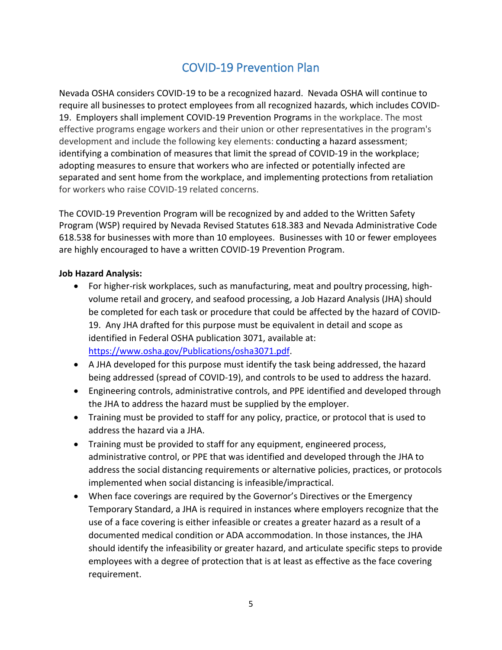# COVID-19 Prevention Plan

Nevada OSHA considers COVID-19 to be a recognized hazard. Nevada OSHA will continue to require all businesses to protect employees from all recognized hazards, which includes COVID-19. [Employers shall implement COVID-19 Prevention Programs](https://www.osha.gov/coronavirus/safework#roles-employers-workers) in the workplace. The most effective programs engage workers and their union or other representatives in the program's development and include the following key elements: [conducting a hazard assessment;](https://www.osha.gov/coronavirus/safework#identification-where-how) [identifying a combination of measures that limit the spread of COVID-19 in the workplace;](https://www.osha.gov/coronavirus/safework#identification-combination) adopting measures to [ensure that workers who are infected or potentially infected are](https://www.osha.gov/coronavirus/safework#instruct-workers)  [separated and sent home from the workplace,](https://www.osha.gov/coronavirus/safework#instruct-workers) and [implementing protections from retaliation](https://www.osha.gov/coronavirus/safework#implementing-protections) for workers who raise COVID-19 related concerns.

The COVID-19 Prevention Program will be recognized by and added to the Written Safety Program (WSP) required by Nevada Revised Statutes 618.383 and Nevada Administrative Code 618.538 for businesses with more than 10 employees. Businesses with 10 or fewer employees are highly encouraged to have a written COVID-19 Prevention Program.

### **Job Hazard Analysis:**

- For higher-risk workplaces, such as manufacturing, meat and poultry processing, highvolume retail and grocery, and seafood processing, a Job Hazard Analysis (JHA) should be completed for each task or procedure that could be affected by the hazard of COVID-19. Any JHA drafted for this purpose must be equivalent in detail and scope as identified in Federal OSHA publication 3071, available at: [https://www.osha.gov/Publications/osha3071.pdf.](https://www.osha.gov/Publications/osha3071.pdf)
- A JHA developed for this purpose must identify the task being addressed, the hazard being addressed (spread of COVID-19), and controls to be used to address the hazard.
- Engineering controls, administrative controls, and PPE identified and developed through the JHA to address the hazard must be supplied by the employer.
- Training must be provided to staff for any policy, practice, or protocol that is used to address the hazard via a JHA.
- Training must be provided to staff for any equipment, engineered process, administrative control, or PPE that was identified and developed through the JHA to address the social distancing requirements or alternative policies, practices, or protocols implemented when social distancing is infeasible/impractical.
- When face coverings are required by the Governor's Directives or the Emergency Temporary Standard, a JHA is required in instances where employers recognize that the use of a face covering is either infeasible or creates a greater hazard as a result of a documented medical condition or ADA accommodation. In those instances, the JHA should identify the infeasibility or greater hazard, and articulate specific steps to provide employees with a degree of protection that is at least as effective as the face covering requirement.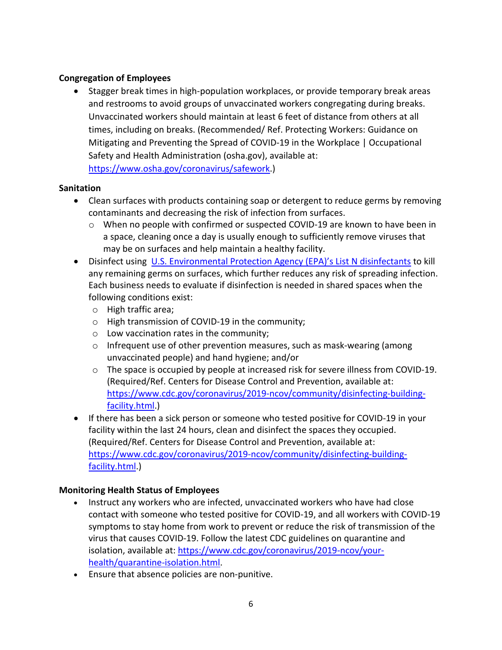## **Congregation of Employees**

• Stagger break times in high-population workplaces, or provide temporary break areas and restrooms to avoid groups of unvaccinated workers congregating during breaks. Unvaccinated workers should maintain at least 6 feet of distance from others at all times, including on breaks. (Recommended/ Ref. Protecting Workers: Guidance on Mitigating and Preventing the Spread of COVID-19 in the Workplace | Occupational Safety and Health Administration (osha.gov), available at:

[https://www.osha.gov/coronavirus/safework.](https://www.osha.gov/coronavirus/safework))

## **Sanitation**

- Clean surfaces with products containing soap or detergent to reduce germs by removing contaminants and decreasing the risk of infection from surfaces.
	- o When no people with confirmed or suspected COVID-19 are known to have been in a space, cleaning once a day is usually enough to sufficiently remove viruses that may be on surfaces and help maintain a healthy facility.
- Disinfect using [U.S. Environmental Protection Agency \(EPA\)'s List N disinfectants](https://www.epa.gov/pesticide-registration/list-n-disinfectants-coronavirus-covid-19) to kill any remaining germs on surfaces, which further reduces any risk of spreading infection. Each business needs to evaluate if disinfection is needed in shared spaces when the following conditions exist:
	- o High traffic area;
	- o High transmission of COVID-19 in the community;
	- o Low vaccination rates in the community;
	- $\circ$  Infrequent use of other prevention measures, such as mask-wearing (among unvaccinated people) and hand hygiene; and/or
	- o The space is occupied by people at increased risk for severe illness from COVID-19. (Required/Ref. Centers for Disease Control and Prevention, available at: [https://www.cdc.gov/coronavirus/2019-ncov/community/disinfecting-building](https://www.cdc.gov/coronavirus/2019-ncov/community/disinfecting-building-facility.html)[facility.html.](https://www.cdc.gov/coronavirus/2019-ncov/community/disinfecting-building-facility.html))
- If there has been a sick person or someone who tested positive for COVID-19 in your facility within the last 24 hours, clean and disinfect the spaces they occupied. (Required/Ref. Centers for Disease Control and Prevention, available at: [https://www.cdc.gov/coronavirus/2019-ncov/community/disinfecting-building](https://www.cdc.gov/coronavirus/2019-ncov/community/disinfecting-building-facility.html)[facility.html.](https://www.cdc.gov/coronavirus/2019-ncov/community/disinfecting-building-facility.html))

# **Monitoring Health Status of Employees**

- Instruct any workers who are infected, unvaccinated workers who have had close contact with someone who tested positive for COVID-19, and all workers with COVID-19 symptoms to stay home from work to prevent or reduce the risk of transmission of the virus that causes COVID-19. Follow the latest CDC guidelines on quarantine and isolation, available at: [https://www.cdc.gov/coronavirus/2019-ncov/your](https://www.cdc.gov/coronavirus/2019-ncov/your-health/quarantine-isolation.html)[health/quarantine-isolation.html.](https://www.cdc.gov/coronavirus/2019-ncov/your-health/quarantine-isolation.html)
- Ensure that absence policies are non-punitive.